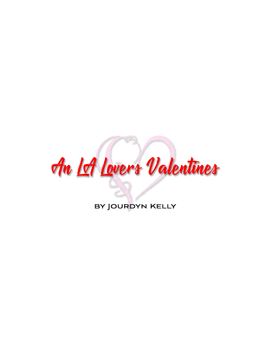

BY JOURDYN KELLY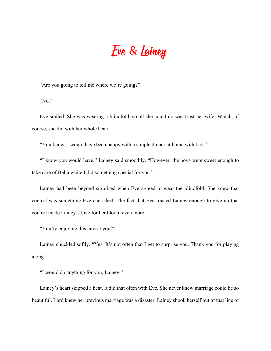# Eve & Lainey

"Are you going to tell me where we're going?"

"No."

Eve smiled. She was wearing a blindfold, so all she could do was trust her wife. Which, of course, she did with her whole heart.

"You know, I would have been happy with a simple dinner at home with kids."

"I know you would have," Lainey said smoothly. "However, the boys were sweet enough to take care of Bella while I did something special for you."

Lainey had been beyond surprised when Eve agreed to wear the blindfold. She knew that control was something Eve cherished. The fact that Eve trusted Lainey enough to give up that control made Lainey's love for her bloom even more.

"You're enjoying this, aren't you?"

Lainey chuckled softly. "Yes. It's not often that I get to surprise you. Thank you for playing along."

"I would do anything for you, Lainey."

Lainey's heart skipped a beat. It did that often with Eve. She never knew marriage could be so beautiful. Lord knew her previous marriage was a disaster. Lainey shook herself out of that line of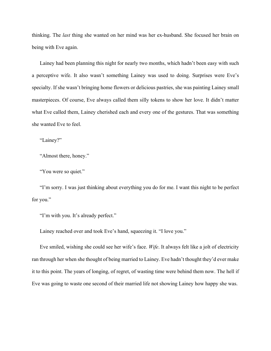thinking. The *last* thing she wanted on her mind was her ex-husband. She focused her brain on being with Eve again.

Lainey had been planning this night for nearly two months, which hadn't been easy with such a perceptive wife. It also wasn't something Lainey was used to doing. Surprises were Eve's specialty. If she wasn't bringing home flowers or delicious pastries, she was painting Lainey small masterpieces. Of course, Eve always called them silly tokens to show her love. It didn't matter what Eve called them, Lainey cherished each and every one of the gestures. That was something she wanted Eve to feel.

"Lainey?"

"Almost there, honey."

"You were so quiet."

"I'm sorry. I was just thinking about everything you do for me. I want this night to be perfect for you."

"I'm with you. It's already perfect."

Lainey reached over and took Eve's hand, squeezing it. "I love you."

Eve smiled, wishing she could see her wife's face. *Wife*. It always felt like a jolt of electricity ran through her when she thought of being married to Lainey. Eve hadn't thought they'd ever make it to this point. The years of longing, of regret, of wasting time were behind them now. The hell if Eve was going to waste one second of their married life not showing Lainey how happy she was.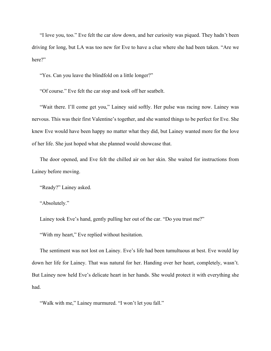"I love you, too." Eve felt the car slow down, and her curiosity was piqued. They hadn't been driving for long, but LA was too new for Eve to have a clue where she had been taken. "Are we here?"

"Yes. Can you leave the blindfold on a little longer?"

"Of course." Eve felt the car stop and took off her seatbelt.

"Wait there. I'll come get you," Lainey said softly. Her pulse was racing now. Lainey was nervous. This was their first Valentine's together, and she wanted things to be perfect for Eve. She knew Eve would have been happy no matter what they did, but Lainey wanted more for the love of her life. She just hoped what she planned would showcase that.

The door opened, and Eve felt the chilled air on her skin. She waited for instructions from Lainey before moving.

"Ready?" Lainey asked.

"Absolutely."

Lainey took Eve's hand, gently pulling her out of the car. "Do you trust me?"

"With my heart," Eve replied without hesitation.

The sentiment was not lost on Lainey. Eve's life had been tumultuous at best. Eve would lay down her life for Lainey. That was natural for her. Handing over her heart, completely, wasn't. But Lainey now held Eve's delicate heart in her hands. She would protect it with everything she had.

"Walk with me," Lainey murmured. "I won't let you fall."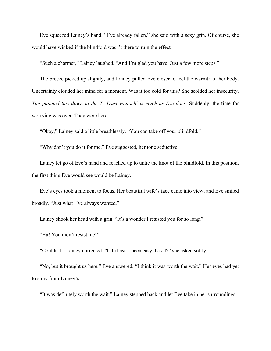Eve squeezed Lainey's hand. "I've already fallen," she said with a sexy grin. Of course, she would have winked if the blindfold wasn't there to ruin the effect.

"Such a charmer," Lainey laughed. "And I'm glad you have. Just a few more steps."

The breeze picked up slightly, and Lainey pulled Eve closer to feel the warmth of her body. Uncertainty clouded her mind for a moment. Was it too cold for this? She scolded her insecurity. *You planned this down to the T. Trust yourself as much as Eve does.* Suddenly, the time for worrying was over. They were here.

"Okay," Lainey said a little breathlessly. "You can take off your blindfold."

"Why don't you do it for me," Eve suggested, her tone seductive.

Lainey let go of Eve's hand and reached up to untie the knot of the blindfold. In this position, the first thing Eve would see would be Lainey.

Eve's eyes took a moment to focus. Her beautiful wife's face came into view, and Eve smiled broadly. "Just what I've always wanted."

Lainey shook her head with a grin. "It's a wonder I resisted you for so long."

"Ha! You didn't resist me!"

"Couldn't," Lainey corrected. "Life hasn't been easy, has it?" she asked softly.

"No, but it brought us here," Eve answered. "I think it was worth the wait." Her eyes had yet to stray from Lainey's.

"It was definitely worth the wait." Lainey stepped back and let Eve take in her surroundings.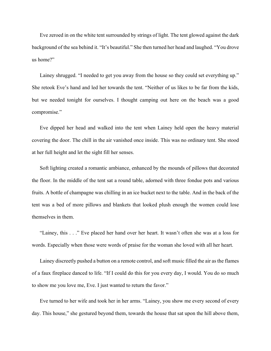Eve zeroed in on the white tent surrounded by strings of light. The tent glowed against the dark background of the sea behind it. "It's beautiful." She then turned her head and laughed. "You drove us home?"

Lainey shrugged. "I needed to get you away from the house so they could set everything up." She retook Eve's hand and led her towards the tent. "Neither of us likes to be far from the kids, but we needed tonight for ourselves. I thought camping out here on the beach was a good compromise."

Eve dipped her head and walked into the tent when Lainey held open the heavy material covering the door. The chill in the air vanished once inside. This was no ordinary tent. She stood at her full height and let the sight fill her senses.

Soft lighting created a romantic ambiance, enhanced by the mounds of pillows that decorated the floor. In the middle of the tent sat a round table, adorned with three fondue pots and various fruits. A bottle of champagne was chilling in an ice bucket next to the table. And in the back of the tent was a bed of more pillows and blankets that looked plush enough the women could lose themselves in them.

"Lainey, this . . ." Eve placed her hand over her heart. It wasn't often she was at a loss for words. Especially when those were words of praise for the woman she loved with all her heart.

Lainey discreetly pushed a button on a remote control, and soft music filled the air as the flames of a faux fireplace danced to life. "If I could do this for you every day, I would. You do so much to show me you love me, Eve. I just wanted to return the favor."

Eve turned to her wife and took her in her arms. "Lainey, you show me every second of every day. This house," she gestured beyond them, towards the house that sat upon the hill above them,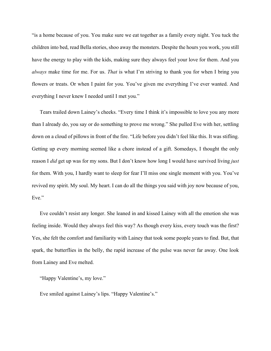"is a home because of you. You make sure we eat together as a family every night. You tuck the children into bed, read Bella stories, shoo away the monsters. Despite the hours you work, you still have the energy to play with the kids, making sure they always feel your love for them. And you *always* make time for me. For us. *That* is what I'm striving to thank you for when I bring you flowers or treats. Or when I paint for you. You've given me everything I've ever wanted. And everything I never knew I needed until I met you."

Tears trailed down Lainey's cheeks. "Every time I think it's impossible to love you any more than I already do, you say or do something to prove me wrong." She pulled Eve with her, settling down on a cloud of pillows in front of the fire. "Life before you didn't feel like this. It was stifling. Getting up every morning seemed like a chore instead of a gift. Somedays, I thought the only reason I *did* get up was for my sons. But I don't know how long I would have survived living *just* for them. With you, I hardly want to sleep for fear I'll miss one single moment with you. You've revived my spirit. My soul. My heart. I can do all the things you said with joy now because of you, Eve."

Eve couldn't resist any longer. She leaned in and kissed Lainey with all the emotion she was feeling inside. Would they always feel this way? As though every kiss, every touch was the first? Yes, she felt the comfort and familiarity with Lainey that took some people years to find. But, that spark, the butterflies in the belly, the rapid increase of the pulse was never far away. One look from Lainey and Eve melted.

"Happy Valentine's, my love."

Eve smiled against Lainey's lips. "Happy Valentine's."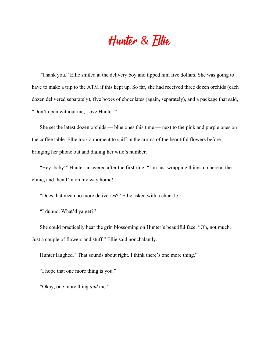## Hunter & Ellie

"Thank you." Ellie smiled at the delivery boy and tipped him five dollars. She was going to have to make a trip to the ATM if this kept up. So far, she had received three dozen orchids (each dozen delivered separately), five boxes of chocolates (again, separately), and a package that said, "Don't open without me, Love Hunter."

She set the latest dozen orchids — blue ones this time — next to the pink and purple ones on the coffee table. Ellie took a moment to sniff in the aroma of the beautiful flowers before bringing her phone out and dialing her wife's number.

"Hey, baby!" Hunter answered after the first ring. "I'm just wrapping things up here at the clinic, and then I'm on my way home!"

"Does that mean no more deliveries?" Ellie asked with a chuckle.

"I dunno. What'd ya get?"

She could practically hear the grin blossoming on Hunter's beautiful face. "Oh, not much. Just a couple of flowers and stuff," Ellie said nonchalantly.

Hunter laughed. "That sounds about right. I think there's one more thing."

"I hope that one more thing is you."

"Okay, one more thing *and* me."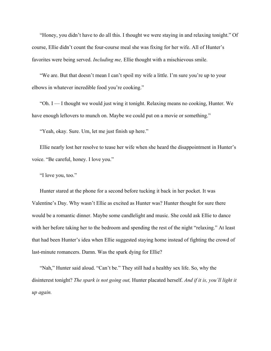"Honey, you didn't have to do all this. I thought we were staying in and relaxing tonight." Of course, Ellie didn't count the four-course meal she was fixing for her wife. All of Hunter's favorites were being served. *Including me,* Ellie thought with a mischievous smile.

"We are. But that doesn't mean I can't spoil my wife a little. I'm sure you're up to your elbows in whatever incredible food you're cooking."

"Oh. I — I thought we would just wing it tonight. Relaxing means no cooking, Hunter. We have enough leftovers to munch on. Maybe we could put on a movie or something."

"Yeah, okay. Sure. Um, let me just finish up here."

Ellie nearly lost her resolve to tease her wife when she heard the disappointment in Hunter's voice. "Be careful, honey. I love you."

"I love you, too."

Hunter stared at the phone for a second before tucking it back in her pocket. It was Valentine's Day. Why wasn't Ellie as excited as Hunter was? Hunter thought for sure there would be a romantic dinner. Maybe some candlelight and music. She could ask Ellie to dance with her before taking her to the bedroom and spending the rest of the night "relaxing." At least that had been Hunter's idea when Ellie suggested staying home instead of fighting the crowd of last-minute romancers. Damn. Was the spark dying for Ellie?

"Nah," Hunter said aloud. "Can't be." They still had a healthy sex life. So, why the disinterest tonight? *The spark is not going out,* Hunter placated herself. *And if it is, you'll light it up again.*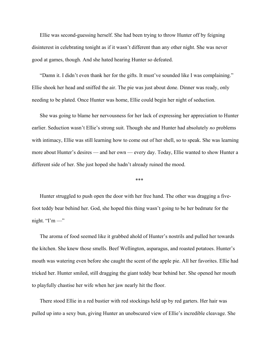Ellie was second-guessing herself. She had been trying to throw Hunter off by feigning disinterest in celebrating tonight as if it wasn't different than any other night. She was never good at games, though. And she hated hearing Hunter so defeated.

"Damn it. I didn't even thank her for the gifts. It must've sounded like I was complaining." Ellie shook her head and sniffed the air. The pie was just about done. Dinner was ready, only needing to be plated. Once Hunter was home, Ellie could begin her night of seduction.

She was going to blame her nervousness for her lack of expressing her appreciation to Hunter earlier. Seduction wasn't Ellie's strong suit. Though she and Hunter had absolutely *no* problems with intimacy, Ellie was still learning how to come out of her shell, so to speak. She was learning more about Hunter's desires — and her own — every day. Today, Ellie wanted to show Hunter a different side of her. She just hoped she hadn't already ruined the mood.

#### \*\*\*

Hunter struggled to push open the door with her free hand. The other was dragging a fivefoot teddy bear behind her. God, she hoped this thing wasn't going to be her bedmate for the night. " $\Gamma'$ m —"

The aroma of food seemed like it grabbed ahold of Hunter's nostrils and pulled her towards the kitchen. She knew those smells. Beef Wellington, asparagus, and roasted potatoes. Hunter's mouth was watering even before she caught the scent of the apple pie. All her favorites. Ellie had tricked her. Hunter smiled, still dragging the giant teddy bear behind her. She opened her mouth to playfully chastise her wife when her jaw nearly hit the floor.

There stood Ellie in a red bustier with red stockings held up by red garters. Her hair was pulled up into a sexy bun, giving Hunter an unobscured view of Ellie's incredible cleavage. She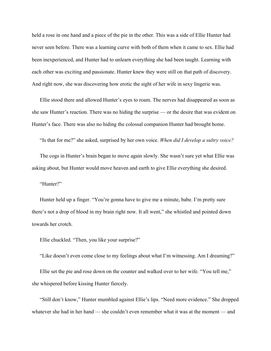held a rose in one hand and a piece of the pie in the other. This was a side of Ellie Hunter had never seen before. There was a learning curve with both of them when it came to sex. Ellie had been inexperienced, and Hunter had to unlearn everything she had been taught. Learning with each other was exciting and passionate. Hunter knew they were still on that path of discovery. And right now, she was discovering how erotic the sight of her wife in sexy lingerie was.

Ellie stood there and allowed Hunter's eyes to roam. The nerves had disappeared as soon as she saw Hunter's reaction. There was no hiding the surprise — or the desire that was evident on Hunter's face. There was also no hiding the colossal companion Hunter had brought home.

"Is that for me?" she asked, surprised by her own voice. *When did I develop a sultry voice?*

The cogs in Hunter's brain began to move again slowly. She wasn't sure yet what Ellie was asking about, but Hunter would move heaven and earth to give Ellie everything she desired.

"Hunter?"

Hunter held up a finger. "You're gonna have to give me a minute, babe. I'm pretty sure there's not a drop of blood in my brain right now. It all went," she whistled and pointed down towards her crotch.

Ellie chuckled. "Then, you like your surprise?"

"Like doesn't even come close to my feelings about what I'm witnessing. Am I dreaming?"

Ellie set the pie and rose down on the counter and walked over to her wife. "You tell me," she whispered before kissing Hunter fiercely.

"Still don't know," Hunter mumbled against Ellie's lips. "Need more evidence." She dropped whatever she had in her hand — she couldn't even remember what it was at the moment — and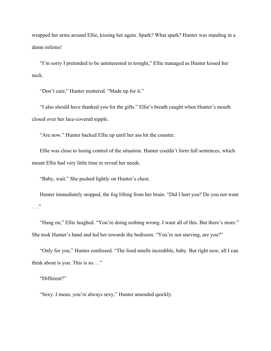wrapped her arms around Ellie, kissing her again. Spark? What spark? Hunter was standing in a damn inferno!

"I'm sorry I pretended to be uninterested in tonight," Ellie managed as Hunter kissed her neck.

"Don't care," Hunter muttered. "Made up for it."

"I also should have thanked you for the gifts." Ellie's breath caught when Hunter's mouth closed over her lace-covered nipple.

"Are now." Hunter backed Ellie up until her ass hit the counter.

Ellie was close to losing control of the situation. Hunter couldn't form full sentences, which meant Ellie had very little time to reveal her needs.

"Baby, wait." She pushed lightly on Hunter's chest.

Hunter immediately stopped, the fog lifting from her brain. "Did I hurt you? Do you not want  $\cdots$ "

"Hang on," Ellie laughed. "You're doing nothing wrong. I want all of this. But there's more." She took Hunter's hand and led her towards the bedroom. "You're not starving, are you?"

"Only for you," Hunter confessed. "The food smells incredible, baby. But right now, all I can think about is you. This is so. . ."

"Different?"

"Sexy. I mean, you're always sexy," Hunter amended quickly.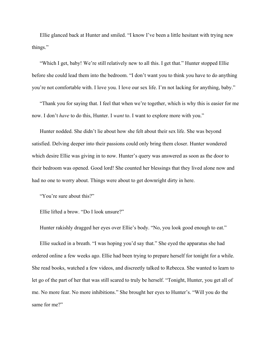Ellie glanced back at Hunter and smiled. "I know I've been a little hesitant with trying new things."

"Which I get, baby! We're still relatively new to all this. I get that." Hunter stopped Ellie before she could lead them into the bedroom. "I don't want you to think you have to do anything you're not comfortable with. I love you. I love our sex life. I'm not lacking for anything, baby."

"Thank you for saying that. I feel that when we're together, which is why this is easier for me now. I don't *have* to do this, Hunter. I *want* to. I want to explore more with you."

Hunter nodded. She didn't lie about how she felt about their sex life. She was beyond satisfied. Delving deeper into their passions could only bring them closer. Hunter wondered which desire Ellie was giving in to now. Hunter's query was answered as soon as the door to their bedroom was opened. Good lord! She counted her blessings that they lived alone now and had no one to worry about. Things were about to get downright dirty in here.

"You're sure about this?"

Ellie lifted a brow. "Do I look unsure?"

Hunter rakishly dragged her eyes over Ellie's body. "No, you look good enough to eat."

Ellie sucked in a breath. "I was hoping you'd say that." She eyed the apparatus she had ordered online a few weeks ago. Ellie had been trying to prepare herself for tonight for a while. She read books, watched a few videos, and discreetly talked to Rebecca. She wanted to learn to let go of the part of her that was still scared to truly be herself. "Tonight, Hunter, you get all of me. No more fear. No more inhibitions." She brought her eyes to Hunter's. "Will you do the same for me?"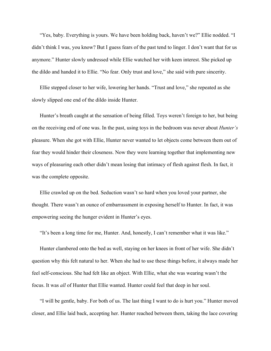"Yes, baby. Everything is yours. We have been holding back, haven't we?" Ellie nodded. "I didn't think I was, you know? But I guess fears of the past tend to linger. I don't want that for us anymore." Hunter slowly undressed while Ellie watched her with keen interest. She picked up the dildo and handed it to Ellie. "No fear. Only trust and love," she said with pure sincerity.

Ellie stepped closer to her wife, lowering her hands. "Trust and love," she repeated as she slowly slipped one end of the dildo inside Hunter.

Hunter's breath caught at the sensation of being filled. Toys weren't foreign to her, but being on the receiving end of one was. In the past, using toys in the bedroom was never about *Hunter's* pleasure. When she got with Ellie, Hunter never wanted to let objects come between them out of fear they would hinder their closeness. Now they were learning together that implementing new ways of pleasuring each other didn't mean losing that intimacy of flesh against flesh. In fact, it was the complete opposite.

Ellie crawled up on the bed. Seduction wasn't so hard when you loved your partner, she thought. There wasn't an ounce of embarrassment in exposing herself to Hunter. In fact, it was empowering seeing the hunger evident in Hunter's eyes.

"It's been a long time for me, Hunter. And, honestly, I can't remember what it was like."

Hunter clambered onto the bed as well, staying on her knees in front of her wife. She didn't question why this felt natural to her. When she had to use these things before, it always made her feel self-conscious. She had felt like an object. With Ellie, what she was wearing wasn't the focus. It was *all* of Hunter that Ellie wanted. Hunter could feel that deep in her soul.

"I will be gentle, baby. For both of us. The last thing I want to do is hurt you." Hunter moved closer, and Ellie laid back, accepting her. Hunter reached between them, taking the lace covering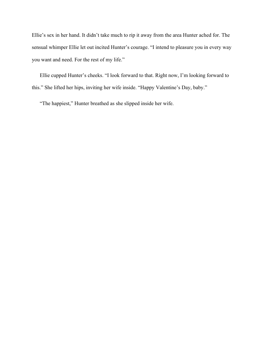Ellie's sex in her hand. It didn't take much to rip it away from the area Hunter ached for. The sensual whimper Ellie let out incited Hunter's courage. "I intend to pleasure you in every way you want and need. For the rest of my life."

Ellie cupped Hunter's cheeks. "I look forward to that. Right now, I'm looking forward to this." She lifted her hips, inviting her wife inside. "Happy Valentine's Day, baby."

"The happiest," Hunter breathed as she slipped inside her wife.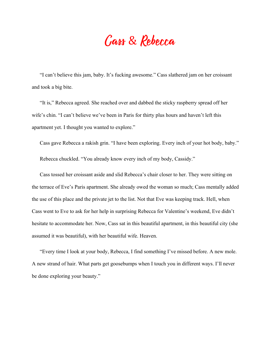### Cass & Rebecca

"I can't believe this jam, baby. It's fucking awesome." Cass slathered jam on her croissant and took a big bite.

"It is," Rebecca agreed. She reached over and dabbed the sticky raspberry spread off her wife's chin. "I can't believe we've been in Paris for thirty plus hours and haven't left this apartment yet. I thought you wanted to explore."

Cass gave Rebecca a rakish grin. "I have been exploring. Every inch of your hot body, baby." Rebecca chuckled. "You already know every inch of my body, Cassidy."

Cass tossed her croissant aside and slid Rebecca's chair closer to her. They were sitting on the terrace of Eve's Paris apartment. She already owed the woman so much; Cass mentally added the use of this place and the private jet to the list. Not that Eve was keeping track. Hell, when Cass went to Eve to ask for her help in surprising Rebecca for Valentine's weekend, Eve didn't hesitate to accommodate her. Now, Cass sat in this beautiful apartment, in this beautiful city (she assumed it was beautiful), with her beautiful wife. Heaven.

"Every time I look at your body, Rebecca, I find something I've missed before. A new mole. A new strand of hair. What parts get goosebumps when I touch you in different ways. I'll never be done exploring your beauty."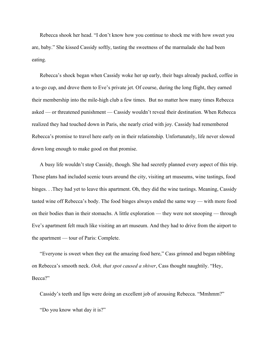Rebecca shook her head. "I don't know how you continue to shock me with how sweet you are, baby." She kissed Cassidy softly, tasting the sweetness of the marmalade she had been eating.

Rebecca's shock began when Cassidy woke her up early, their bags already packed, coffee in a to-go cup, and drove them to Eve's private jet. Of course, during the long flight, they earned their membership into the mile-high club a few times. But no matter how many times Rebecca asked — or threatened punishment — Cassidy wouldn't reveal their destination. When Rebecca realized they had touched down in Paris, she nearly cried with joy. Cassidy had remembered Rebecca's promise to travel here early on in their relationship. Unfortunately, life never slowed down long enough to make good on that promise.

A busy life wouldn't stop Cassidy, though. She had secretly planned every aspect of this trip. Those plans had included scenic tours around the city, visiting art museums, wine tastings, food binges. . .They had yet to leave this apartment. Oh, they did the wine tastings. Meaning, Cassidy tasted wine off Rebecca's body. The food binges always ended the same way — with more food on their bodies than in their stomachs. A little exploration — they were not snooping — through Eve's apartment felt much like visiting an art museum. And they had to drive from the airport to the apartment — tour of Paris: Complete.

"Everyone is sweet when they eat the amazing food here," Cass grinned and began nibbling on Rebecca's smooth neck. *Ooh, that spot caused a shiver*, Cass thought naughtily. "Hey, Becca?"

Cassidy's teeth and lips were doing an excellent job of arousing Rebecca. "Mmhmm?" "Do you know what day it is?"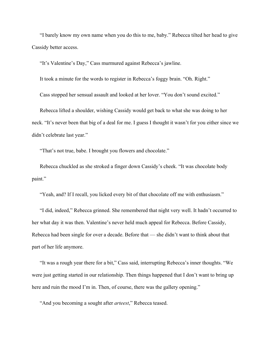"I barely know my own name when you do this to me, baby." Rebecca tilted her head to give Cassidy better access.

"It's Valentine's Day," Cass murmured against Rebecca's jawline.

It took a minute for the words to register in Rebecca's foggy brain. "Oh. Right."

Cass stopped her sensual assault and looked at her lover. "You don't sound excited."

Rebecca lifted a shoulder, wishing Cassidy would get back to what she was doing to her neck. "It's never been that big of a deal for me. I guess I thought it wasn't for you either since we didn't celebrate last year."

"That's not true, babe. I brought you flowers and chocolate."

Rebecca chuckled as she stroked a finger down Cassidy's cheek. "It was chocolate body paint."

"Yeah, and? If I recall, you licked every bit of that chocolate off me with enthusiasm."

"I did, indeed," Rebecca grinned. She remembered that night very well. It hadn't occurred to her what day it was then. Valentine's never held much appeal for Rebecca. Before Cassidy, Rebecca had been single for over a decade. Before that — she didn't want to think about that part of her life anymore.

"It was a rough year there for a bit," Cass said, interrupting Rebecca's inner thoughts. "We were just getting started in our relationship. Then things happened that I don't want to bring up here and ruin the mood I'm in. Then, of course, there was the gallery opening."

"And you becoming a sought after *arteest*," Rebecca teased.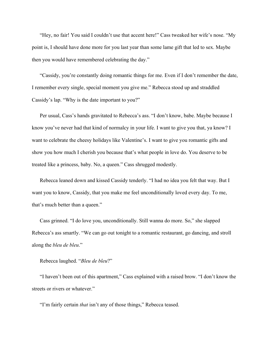"Hey, no fair! You said I couldn't use that accent here!" Cass tweaked her wife's nose. "My point is, I should have done more for you last year than some lame gift that led to sex. Maybe then you would have remembered celebrating the day."

"Cassidy, you're constantly doing romantic things for me. Even if I don't remember the date, I remember every single, special moment you give me." Rebecca stood up and straddled Cassidy's lap. "Why is the date important to you?"

Per usual, Cass's hands gravitated to Rebecca's ass. "I don't know, babe. Maybe because I know you've never had that kind of normalcy in your life. I want to give you that, ya know? I want to celebrate the cheesy holidays like Valentine's. I want to give you romantic gifts and show you how much I cherish you because that's what people in love do. You deserve to be treated like a princess, baby. No, a queen." Cass shrugged modestly.

Rebecca leaned down and kissed Cassidy tenderly. "I had no idea you felt that way. But I want you to know, Cassidy, that you make me feel unconditionally loved every day. To me, that's much better than a queen."

Cass grinned. "I do love you, unconditionally. Still wanna do more. So," she slapped Rebecca's ass smartly. "We can go out tonight to a romantic restaurant, go dancing, and stroll along the *bleu de bleu*."

Rebecca laughed. "*Bleu de bleu*?"

"I haven't been out of this apartment," Cass explained with a raised brow. "I don't know the streets or rivers or whatever."

"I'm fairly certain *that* isn't any of those things," Rebecca teased.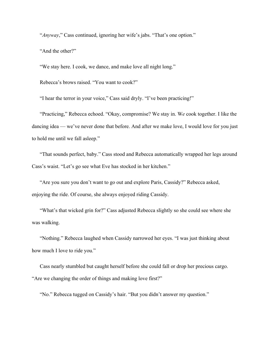"*Anyway*," Cass continued, ignoring her wife's jabs. "That's one option." "And the other?"

"We stay here. I cook, we dance, and make love all night long."

Rebecca's brows raised. "You want to cook?"

"I hear the terror in your voice," Cass said dryly. "I've been practicing!"

"Practicing," Rebecca echoed. "Okay, compromise? We stay in. W*e* cook together. I like the dancing idea — we've never done that before. And after we make love, I would love for you just to hold me until we fall asleep."

"That sounds perfect, baby." Cass stood and Rebecca automatically wrapped her legs around Cass's waist. "Let's go see what Eve has stocked in her kitchen."

"Are you sure you don't want to go out and explore Paris, Cassidy?" Rebecca asked, enjoying the ride. Of course, she always enjoyed riding Cassidy.

"What's that wicked grin for?" Cass adjusted Rebecca slightly so she could see where she was walking.

"Nothing." Rebecca laughed when Cassidy narrowed her eyes. "I was just thinking about how much I love to ride you."

Cass nearly stumbled but caught herself before she could fall or drop her precious cargo. "Are we changing the order of things and making love first?"

"No." Rebecca tugged on Cassidy's hair. "But you didn't answer my question."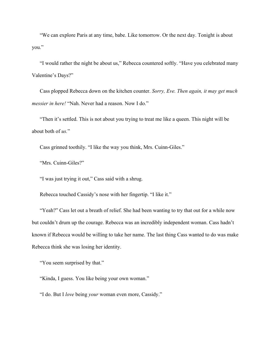"We can explore Paris at any time, babe. Like tomorrow. Or the next day. Tonight is about you."

"I would rather the night be about us," Rebecca countered softly. "Have you celebrated many Valentine's Days?"

Cass plopped Rebecca down on the kitchen counter. *Sorry, Eve. Then again, it may get much messier in here!* "Nah. Never had a reason. Now I do."

"Then it's settled. This is not about you trying to treat me like a queen. This night will be about both of *us.*"

Cass grinned toothily. "I like the way you think, Mrs. Cuinn-Giles."

"Mrs. Cuinn-Giles?"

"I was just trying it out," Cass said with a shrug.

Rebecca touched Cassidy's nose with her fingertip. "I like it."

"Yeah?" Cass let out a breath of relief. She had been wanting to try that out for a while now but couldn't drum up the courage. Rebecca was an incredibly independent woman. Cass hadn't known if Rebecca would be willing to take her name. The last thing Cass wanted to do was make Rebecca think she was losing her identity.

"You seem surprised by that."

"Kinda, I guess. You like being your own woman."

"I do. But I *love* being *your* woman even more, Cassidy."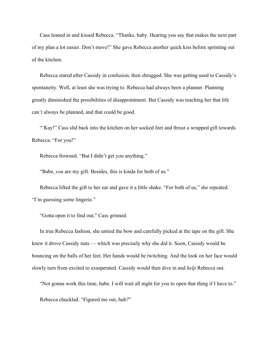Cass leaned in and kissed Rebecca. "Thanks, baby. Hearing you say that makes the next part of my plan a lot easier. Don't move!" She gave Rebecca another quick kiss before sprinting out of the kitchen.

Rebecca stared after Cassidy in confusion, then shrugged. She was getting used to Cassidy's spontaneity. Well, at least she was trying to. Rebecca had always been a planner. Planning greatly diminished the possibilities of disappointment. But Cassidy was teaching her that life can't always be planned, and that could be good.

"'Kay!" Cass slid back into the kitchen on her socked feet and thrust a wrapped gift towards Rebecca. "For you!"

Rebecca frowned. "But I didn't get you anything."

"Babe, *you* are my gift. Besides, this is kinda for both of us."

Rebecca lifted the gift to her ear and gave it a little shake. "For both of us," she repeated. "I'm guessing some lingerie."

"Gotta open it to find out," Cass grinned.

In true Rebecca fashion, she untied the bow and carefully picked at the tape on the gift. She knew it drove Cassidy nuts — which was precisely why she did it. Soon, Cassidy would be bouncing on the balls of her feet. Her hands would be twitching. And the look on her face would slowly turn from excited to exasperated. Cassidy would then dive in and *help* Rebecca out.

"Not gonna work this time, babe. I will wait all night for you to open that thing if I have to."

Rebecca chuckled. "Figured me out, huh?"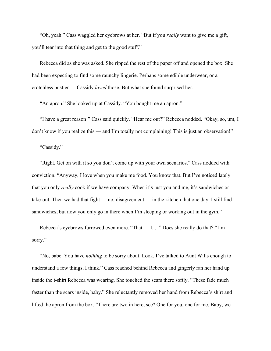"Oh, yeah." Cass waggled her eyebrows at her. "But if you *really* want to give me a gift, you'll tear into that thing and get to the good stuff."

Rebecca did as she was asked. She ripped the rest of the paper off and opened the box. She had been expecting to find some raunchy lingerie. Perhaps some edible underwear, or a crotchless bustier — Cassidy *loved* those. But what she found surprised her.

"An apron." She looked up at Cassidy. "You bought me an apron."

"I have a great reason!" Cass said quickly. "Hear me out?" Rebecca nodded. "Okay, so, um, I don't know if you realize this — and I'm totally not complaining! This is just an observation!"

"Cassidy."

"Right. Get on with it so you don't come up with your own scenarios." Cass nodded with conviction. "Anyway, I love when you make me food. You know that. But I've noticed lately that you only *really* cook if we have company. When it's just you and me, it's sandwiches or take-out. Then we had that fight — no, disagreement — in the kitchen that one day. I still find sandwiches, but now you only go in there when I'm sleeping or working out in the gym."

Rebecca's eyebrows furrowed even more. "That — I. . ." Does she really do that? "I'm sorry."

"No, babe. You have *nothing* to be sorry about. Look, I've talked to Aunt Wills enough to understand a few things, I think." Cass reached behind Rebecca and gingerly ran her hand up inside the t-shirt Rebecca was wearing. She touched the scars there softly. "These fade much faster than the scars inside, baby." She reluctantly removed her hand from Rebecca's shirt and lifted the apron from the box. "There are two in here, see? One for you, one for me. Baby, we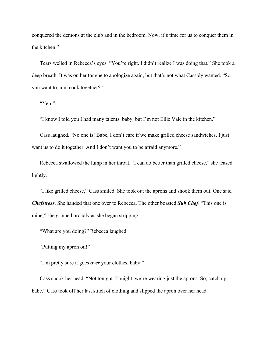conquered the demons at the club and in the bedroom. Now, it's time for us to conquer them in the kitchen."

Tears welled in Rebecca's eyes. "You're right. I didn't realize I was doing that." She took a deep breath. It was on her tongue to apologize again, but that's not what Cassidy wanted. "So, you want to, um, cook together?"

"Yep!"

"I know I told you I had many talents, baby, but I'm not Ellie Vale in the kitchen."

Cass laughed. "No one is! Babe, I don't care if we make grilled cheese sandwiches, I just want us to do it together. And I don't want you to be afraid anymore."

Rebecca swallowed the lump in her throat. "I can do better than grilled cheese," she teased lightly.

"I like grilled cheese," Cass smiled. She took out the aprons and shook them out. One said *Chefstress*. She handed that one over to Rebecca. The other boasted *Sub Chef*. "This one is mine," she grinned broadly as she began stripping.

"What are you doing?" Rebecca laughed.

"Putting my apron on!"

"I'm pretty sure it goes *over* your clothes, baby."

Cass shook her head. "Not tonight. Tonight, we're wearing just the aprons. So, catch up, babe." Cass took off her last stitch of clothing and slipped the apron over her head.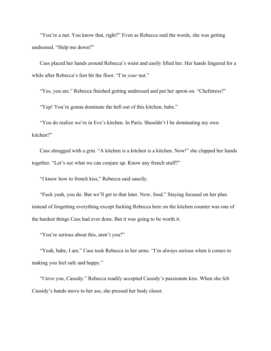"You're a nut. You know that, right?" Even as Rebecca said the words, she was getting undressed. "Help me down?"

Cass placed her hands around Rebecca's waist and easily lifted her. Her hands lingered for a while after Rebecca's feet hit the floor. "I'm *your* nut."

"Yes, you are." Rebecca finished getting undressed and put her apron on. "Chefstress?"

"Yep! You're gonna dominate the hell out of this kitchen, babe."

"You do realize we're in Eve's kitchen. In Paris. Shouldn't I be dominating my own kitchen?"

Cass shrugged with a grin. "A kitchen is a kitchen is a kitchen. Now!" she clapped her hands together. "Let's see what we can conjure up. Know any french stuff?"

"I know how to french kiss," Rebecca said saucily.

"Fuck yeah, you do. But we'll get to that later. Now, food." Staying focused on her plan instead of forgetting everything except fucking Rebecca here on the kitchen counter was one of the hardest things Cass had ever done. But it was going to be worth it.

"You're serious about this, aren't you?"

"Yeah, babe, I am." Cass took Rebecca in her arms. "I'm always serious when it comes to making you feel safe and happy."

"I love you, Cassidy." Rebecca readily accepted Cassidy's passionate kiss. When she felt Cassidy's hands move to her ass, she pressed her body closer.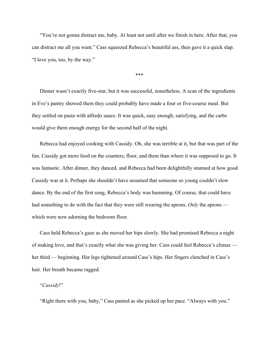"You're not gonna distract me, baby. At least not until after we finish in here. After that, you can distract me all you want." Cass squeezed Rebecca's beautiful ass, then gave it a quick slap. "I love you, too, by the way."

\*\*\*

Dinner wasn't exactly five-star, but it was successful, nonetheless. A scan of the ingredients in Eve's pantry showed them they could probably have made a four or five-course meal. But they settled on pasta with alfredo sauce. It was quick, easy enough, satisfying, and the carbs would give them enough energy for the second half of the night.

Rebecca had enjoyed cooking with Cassidy. Oh, she was terrible at it, but that was part of the fun. Cassidy got more food on the counters, floor, and them than where it was supposed to go. It was fantastic. After dinner, they danced, and Rebecca had been delightfully stunned at how good Cassidy was at it. Perhaps she shouldn't have assumed that someone so young couldn't slow dance. By the end of the first song, Rebecca's body was humming. Of course, that could have had something to do with the fact that they were still wearing the aprons. *Only* the aprons which were now adorning the bedroom floor.

Cass held Rebecca's gaze as she moved her hips slowly. She had promised Rebecca a night of making love, and that's exactly what she was giving her. Cass could feel Rebecca's climax her third — beginning. Her legs tightened around Cass's hips. Her fingers clenched in Cass's hair. Her breath became ragged.

### "*Cassidy*!"

"Right there with you, baby," Cass panted as she picked up her pace. "Always with you."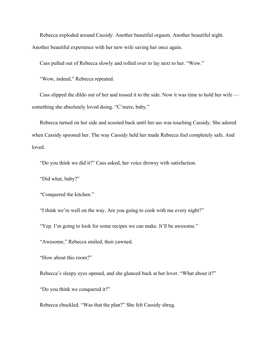Rebecca exploded around Cassidy. Another beautiful orgasm. Another beautiful night. Another beautiful experience with her new wife saving her once again.

Cass pulled out of Rebecca slowly and rolled over to lay next to her. "Wow."

"Wow, indeed," Rebecca repeated.

Cass slipped the dildo out of her and tossed it to the side. Now it was time to hold her wife something she absolutely loved doing. "C'mere, baby."

Rebecca turned on her side and scooted back until her ass was touching Cassidy. She adored when Cassidy spooned her. The way Cassidy held her made Rebecca feel completely safe. And loved.

"Do you think we did it?" Cass asked, her voice drowsy with satisfaction.

"Did what, baby?"

"Conquered the kitchen."

"I think we're well on the way. Are you going to cook with me every night?"

"Yep. I'm going to look for some recipes we can make. It'll be awesome."

"Awesome," Rebecca smiled, then yawned.

"How about this room?"

Rebecca's sleepy eyes opened, and she glanced back at her lover. "What about it?"

"Do you think we conquered it?"

Rebecca chuckled. "Was that the plan?" She felt Cassidy shrug.